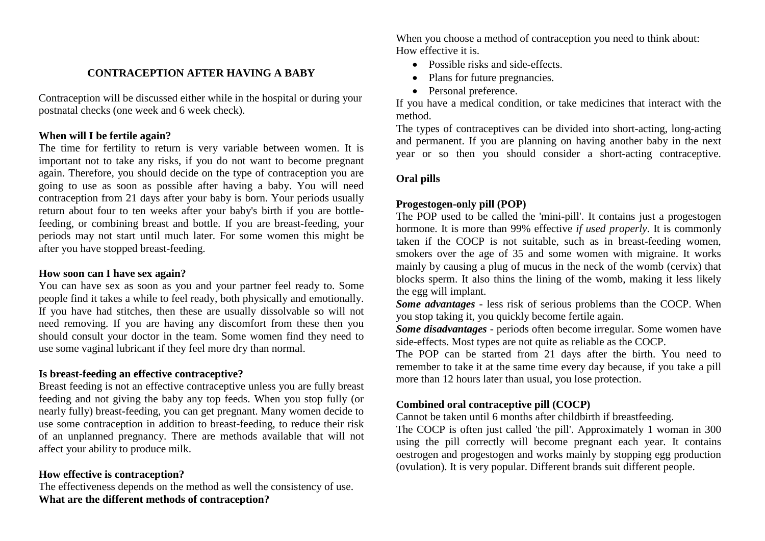### **CONTRACEPTION AFTER HAVING A BABY**

Contraception will be discussed either while in the hospital or during your postnatal checks (one week and 6 week check).

# **When will I be fertile again?**

The time for fertility to return is very variable between women. It is important not to take any risks, if you do not want to become pregnant again. Therefore, you should decide on the type of contraception you are going to use as soon as possible after having a baby. You will need contraception from 21 days after your baby is born. Your periods usually return about four to ten weeks after your baby's birth if you are bottlefeeding, or combining breast and bottle. If you are breast-feeding, your periods may not start until much later. For some women this might be after you have stopped breast-feeding.

# **How soon can I have sex again?**

You can have sex as soon as you and your partner feel ready to. Some people find it takes a while to feel ready, both physically and emotionally. If you have had stitches, then these are usually dissolvable so will not need removing. If you are having any discomfort from these then you should consult your doctor in the team. Some women find they need to use some vaginal lubricant if they feel more dry than normal.

# **Is breast-feeding an effective contraceptive?**

Breast feeding is not an effective contraceptive unless you are fully breast feeding and not giving the baby any top feeds. When you stop fully (or nearly fully) breast-feeding, you can get pregnant. Many women decide to use some contraception in addition to breast-feeding, to reduce their risk of an unplanned pregnancy. There are methods available that will not affect your ability to produce milk.

# **How effective is contraception?**

The effectiveness depends on the method as well the consistency of use. **What are the different methods of contraception?**

When you choose a method of contraception you need to think about: How effective it is.

- Possible risks and side-effects.
- Plans for future pregnancies.
- Personal preference.

If you have a medical condition, or take medicines that interact with the method.

The types of contraceptives can be divided into short-acting, long-acting and permanent. If you are planning on having another baby in the next year or so then you should consider a short-acting contraceptive.

### **Oral pills**

## **Progestogen-only pill (POP)**

The POP used to be called the 'mini-pill'. It contains just a progestogen hormone. It is more than 99% effective *if used properly*. It is commonly taken if the COCP is not suitable, such as in breast-feeding women, smokers over the age of 35 and some women with migraine. It works mainly by causing a plug of mucus in the neck of the womb (cervix) that blocks sperm. It also thins the lining of the womb, making it less likely the egg will implant.

*Some advantages* - less risk of serious problems than the COCP. When you stop taking it, you quickly become fertile again.

*Some disadvantages* - periods often become irregular. Some women have side-effects. Most types are not quite as reliable as the COCP.

The POP can be started from 21 days after the birth. You need to remember to take it at the same time every day because, if you take a pill more than 12 hours later than usual, you lose protection.

### **Combined oral contraceptive pill (COCP)**

Cannot be taken until 6 months after childbirth if breastfeeding.

The COCP is often just called 'the pill'. Approximately 1 woman in 300 using the pill correctly will become pregnant each year. It contains oestrogen and progestogen and works mainly by stopping egg production (ovulation). It is very popular. Different brands suit different people.